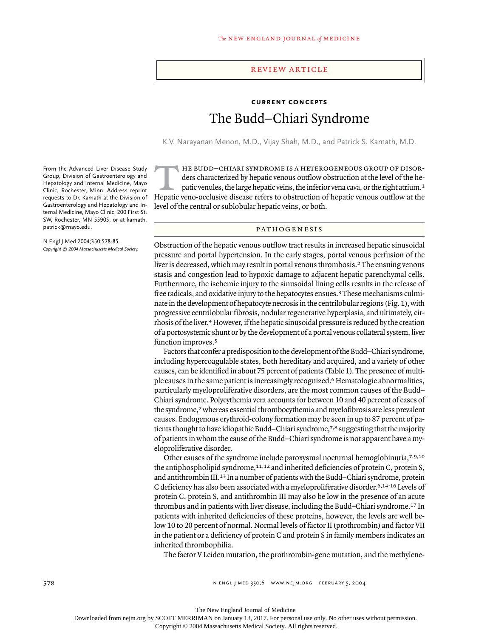thrombus and in patients with liver disease, including the Budd–Chiari syndrome.17 In patients with inherited deficiencies of these proteins, however, the levels are well below 10 to 20 percent of normal. Normal levels of factor II (prothrombin) and factor VII in the patient or a deficiency of protein C and protein S in family members indicates an inherited thrombophilia.

The factor V Leiden mutation, the prothrombin-gene mutation, and the methylene-

Copyright © 2004 Massachusetts Medical Society. All rights reserved.

From the Advanced Liver Disease Study Group, Division of Gastroenterology and Hepatology and Internal Medicine, Mayo Clinic, Rochester, Minn. Address reprint requests to Dr. Kamath at the Division of Gastroenterology and Hepatology and Internal Medicine, Mayo Clinic, 200 First St. SW, Rochester, MN 55905, or at kamath. patrick@mayo.edu.

N Engl J Med 2004;350:578-85. *Copyright © 2004 Massachusetts Medical Society.*

# **current concepts**

review article

K.V. Narayanan Menon, M.D., Vijay Shah, M.D., and Patrick S. Kamath, M.D.

The Budd–Chiari Syndrome

he budd–chiari syndrome is a heterogeneous group of disorders characterized by hepatic venous outflow obstruction at the level of the hepatic venules, the large hepatic veins, the inferior vena cava, or the right atrium.<sup>1</sup> Hepatic veno-occlusive disease refers to obstruction of hepatic venous outflow at the level of the central or sublobular hepatic veins, or both. the set of the set of the set of the set of the set of the set of the set of the set of the set of the set of the set of the set of the set of the set of the set of the set of the set of the set of the set of the set of th

## pathogenesis

Obstruction of the hepatic venous outflow tract results in increased hepatic sinusoidal pressure and portal hypertension. In the early stages, portal venous perfusion of the liver is decreased, which may result in portal venous thrombosis.2 The ensuing venous stasis and congestion lead to hypoxic damage to adjacent hepatic parenchymal cells. Furthermore, the ischemic injury to the sinusoidal lining cells results in the release of free radicals, and oxidative injury to the hepatocytes ensues.3 These mechanisms culminate in the development of hepatocyte necrosis in the centrilobular regions (Fig. 1), with progressive centrilobular fibrosis, nodular regenerative hyperplasia, and ultimately, cirrhosis of the liver.4 However, if the hepatic sinusoidal pressure is reduced by the creation of a portosystemic shunt or by the development of a portal venous collateral system, liver function improves.<sup>5</sup>

Factors that confer a predisposition to the development of the Budd–Chiari syndrome, including hypercoagulable states, both hereditary and acquired, and a variety of other causes, can be identified in about 75 percent of patients (Table 1). The presence of multiple causes in the same patient is increasingly recognized.6 Hematologic abnormalities, particularly myeloproliferative disorders, are the most common causes of the Budd– Chiari syndrome. Polycythemia vera accounts for between 10 and 40 percent of cases of the syndrome,7 whereas essential thrombocythemia and myelofibrosis are less prevalent causes. Endogenous erythroid-colony formation may be seen in up to 87 percent of patients thought to have idiopathic Budd–Chiari syndrome,<sup>7,8</sup> suggesting that the majority of patients in whom the cause of the Budd–Chiari syndrome is not apparent have a myeloproliferative disorder.

Other causes of the syndrome include paroxysmal nocturnal hemoglobinuria,<sup>7,9,10</sup> the antiphospholipid syndrome,  $11,12$  and inherited deficiencies of protein C, protein S, and antithrombin III.13 In a number of patients with the Budd–Chiari syndrome, protein C deficiency has also been associated with a myeloproliferative disorder.6,14-16 Levels of

578 n engl j med 350;6 www.nejm.org february 5, 2004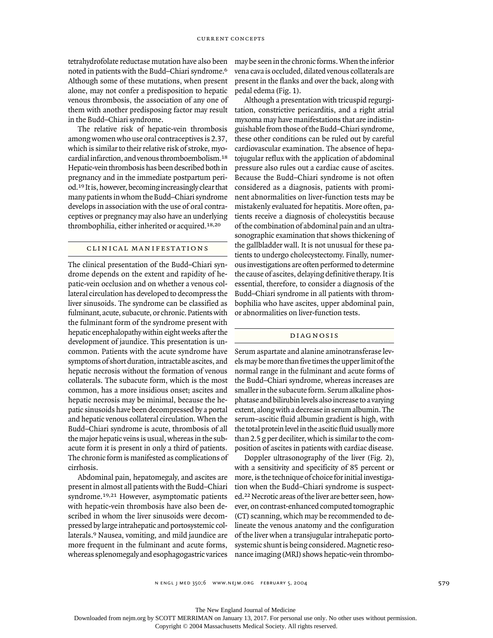tetrahydrofolate reductase mutation have also been noted in patients with the Budd–Chiari syndrome.<sup>6</sup> Although some of these mutations, when present alone, may not confer a predisposition to hepatic venous thrombosis, the association of any one of them with another predisposing factor may result in the Budd–Chiari syndrome.

The relative risk of hepatic-vein thrombosis among women who use oral contraceptives is 2.37, which is similar to their relative risk of stroke, myocardial infarction, and venous thromboembolism.<sup>18</sup> Hepatic-vein thrombosis has been described both in pregnancy and in the immediate postpartum period.19 It is, however, becoming increasingly clear that many patients in whom the Budd–Chiari syndrome develops in association with the use of oral contraceptives or pregnancy may also have an underlying thrombophilia, either inherited or acquired.18,20

### clinical manifestations

The clinical presentation of the Budd–Chiari syndrome depends on the extent and rapidity of hepatic-vein occlusion and on whether a venous collateral circulation has developed to decompress the liver sinusoids. The syndrome can be classified as fulminant, acute, subacute, or chronic. Patients with the fulminant form of the syndrome present with hepatic encephalopathy within eight weeks after the development of jaundice. This presentation is uncommon. Patients with the acute syndrome have symptoms of short duration, intractable ascites, and hepatic necrosis without the formation of venous collaterals. The subacute form, which is the most common, has a more insidious onset; ascites and hepatic necrosis may be minimal, because the hepatic sinusoids have been decompressed by a portal and hepatic venous collateral circulation. When the Budd–Chiari syndrome is acute, thrombosis of all the major hepatic veins is usual, whereas in the subacute form it is present in only a third of patients. The chronic form is manifested as complications of cirrhosis.

Abdominal pain, hepatomegaly, and ascites are present in almost all patients with the Budd–Chiari syndrome.19,21 However, asymptomatic patients with hepatic-vein thrombosis have also been described in whom the liver sinusoids were decompressed by large intrahepatic and portosystemic collaterals.9 Nausea, vomiting, and mild jaundice are more frequent in the fulminant and acute forms, whereas splenomegaly and esophagogastric varices may be seen in the chronic forms. When the inferior vena cava is occluded, dilated venous collaterals are present in the flanks and over the back, along with pedal edema (Fig. 1).

Although a presentation with tricuspid regurgitation, constrictive pericarditis, and a right atrial myxoma may have manifestations that are indistinguishable from those of the Budd–Chiari syndrome, these other conditions can be ruled out by careful cardiovascular examination. The absence of hepatojugular reflux with the application of abdominal pressure also rules out a cardiac cause of ascites. Because the Budd–Chiari syndrome is not often considered as a diagnosis, patients with prominent abnormalities on liver-function tests may be mistakenly evaluated for hepatitis. More often, patients receive a diagnosis of cholecystitis because of the combination of abdominal pain and an ultrasonographic examination that shows thickening of the gallbladder wall. It is not unusual for these patients to undergo cholecystectomy. Finally, numerous investigations are often performed to determine the cause of ascites, delaying definitive therapy. It is essential, therefore, to consider a diagnosis of the Budd–Chiari syndrome in all patients with thrombophilia who have ascites, upper abdominal pain, or abnormalities on liver-function tests.

#### diagnosis

Serum aspartate and alanine aminotransferase levels may be more than five times the upper limit of the normal range in the fulminant and acute forms of the Budd–Chiari syndrome, whereas increases are smaller in the subacute form. Serum alkaline phosphatase and bilirubin levels also increase to a varying extent, along with a decrease in serum albumin. The serum–ascitic fluid albumin gradient is high, with the total protein level in the ascitic fluid usually more than 2.5 g per deciliter, which is similar to the composition of ascites in patients with cardiac disease.

Doppler ultrasonography of the liver (Fig. 2), with a sensitivity and specificity of 85 percent or more, is the technique of choice for initial investigation when the Budd–Chiari syndrome is suspected.22 Necrotic areas of the liver are better seen, however, on contrast-enhanced computed tomographic (CT) scanning, which may be recommended to delineate the venous anatomy and the configuration of the liver when a transjugular intrahepatic portosystemic shunt is being considered. Magnetic resonance imaging (MRI) shows hepatic-vein thrombo-

The New England Journal of Medicine

Downloaded from nejm.org by SCOTT MERRIMAN on January 13, 2017. For personal use only. No other uses without permission.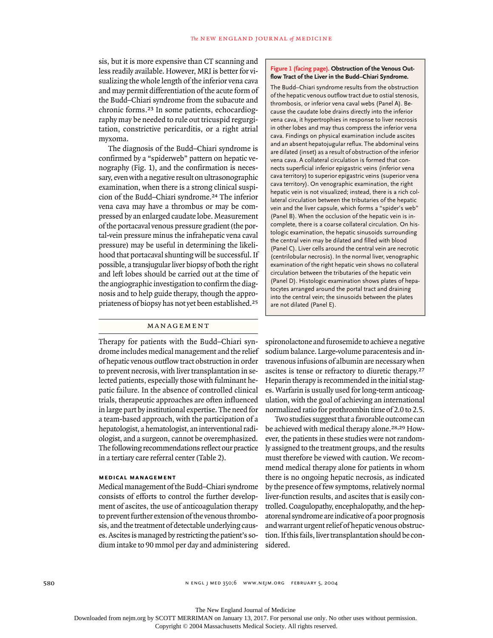sis, but it is more expensive than CT scanning and less readily available. However, MRI is better for visualizing the whole length of the inferior vena cava and may permit differentiation of the acute form of the Budd–Chiari syndrome from the subacute and chronic forms.23 In some patients, echocardiography may be needed to rule out tricuspid regurgitation, constrictive pericarditis, or a right atrial myxoma.

The diagnosis of the Budd–Chiari syndrome is confirmed by a "spiderweb" pattern on hepatic venography (Fig. 1), and the confirmation is necessary, even with a negative result on ultrasonographic examination, when there is a strong clinical suspicion of the Budd–Chiari syndrome.24 The inferior vena cava may have a thrombus or may be compressed by an enlarged caudate lobe. Measurement of the portacaval venous pressure gradient (the portal-vein pressure minus the infrahepatic vena caval pressure) may be useful in determining the likelihood that portacaval shunting will be successful. If possible, a transjugular liver biopsy of both the right and left lobes should be carried out at the time of the angiographic investigation to confirm the diagnosis and to help guide therapy, though the appropriateness of biopsy has not yet been established.<sup>25</sup>

#### management

Therapy for patients with the Budd–Chiari syndrome includes medical management and the relief of hepatic venous outflow tract obstruction in order to prevent necrosis, with liver transplantation in selected patients, especially those with fulminant hepatic failure. In the absence of controlled clinical trials, therapeutic approaches are often influenced in large part by institutional expertise. The need for a team-based approach, with the participation of a hepatologist, a hematologist, an interventional radiologist, and a surgeon, cannot be overemphasized. The following recommendations reflect our practice in a tertiary care referral center (Table 2).

## **medical management**

Medical management of the Budd–Chiari syndrome consists of efforts to control the further development of ascites, the use of anticoagulation therapy to prevent further extension of the venous thrombosis, and the treatment of detectable underlying causes. Ascites is managed by restricting the patient's sodium intake to 90 mmol per day and administering

#### **Figure 1 (facing page). Obstruction of the Venous Outflow Tract of the Liver in the Budd–Chiari Syndrome.**

The Budd–Chiari syndrome results from the obstruction of the hepatic venous outflow tract due to ostial stenosis, thrombosis, or inferior vena caval webs (Panel A). Because the caudate lobe drains directly into the inferior vena cava, it hypertrophies in response to liver necrosis in other lobes and may thus compress the inferior vena cava. Findings on physical examination include ascites and an absent hepatojugular reflux. The abdominal veins are dilated (inset) as a result of obstruction of the inferior vena cava. A collateral circulation is formed that connects superficial inferior epigastric veins (inferior vena cava territory) to superior epigastric veins (superior vena cava territory). On venographic examination, the right hepatic vein is not visualized; instead, there is a rich collateral circulation between the tributaries of the hepatic vein and the liver capsule, which forms a "spider's web" (Panel B). When the occlusion of the hepatic vein is incomplete, there is a coarse collateral circulation. On histologic examination, the hepatic sinusoids surrounding the central vein may be dilated and filled with blood (Panel C). Liver cells around the central vein are necrotic (centrilobular necrosis). In the normal liver, venographic examination of the right hepatic vein shows no collateral circulation between the tributaries of the hepatic vein (Panel D). Histologic examination shows plates of hepatocytes arranged around the portal tract and draining into the central vein; the sinusoids between the plates are not dilated (Panel E).

spironolactone and furosemide to achieve a negative sodium balance. Large-volume paracentesis and intravenous infusions of albumin are necessary when ascites is tense or refractory to diuretic therapy.<sup>27</sup> Heparin therapy is recommended in the initial stages. Warfarin is usually used for long-term anticoagulation, with the goal of achieving an international normalized ratio for prothrombin time of 2.0 to 2.5.

Two studies suggest that a favorable outcome can be achieved with medical therapy alone.28,29 However, the patients in these studies were not randomly assigned to the treatment groups, and the results must therefore be viewed with caution. We recommend medical therapy alone for patients in whom there is no ongoing hepatic necrosis, as indicated by the presence of few symptoms, relatively normal liver-function results, and ascites that is easily controlled. Coagulopathy, encephalopathy, and the hepatorenal syndrome are indicative of a poor prognosis and warrant urgent relief of hepatic venous obstruction. If this fails, liver transplantation should be considered.

n engl j med 350;6 www.nejm.org february 5, 2004

The New England Journal of Medicine

Downloaded from nejm.org by SCOTT MERRIMAN on January 13, 2017. For personal use only. No other uses without permission.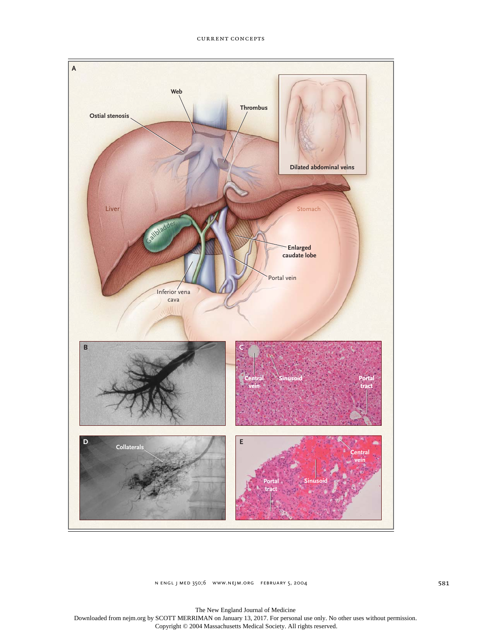

n engl j med 350;6 www.nejm.org february 5, 2004

The New England Journal of Medicine

Downloaded from nejm.org by SCOTT MERRIMAN on January 13, 2017. For personal use only. No other uses without permission.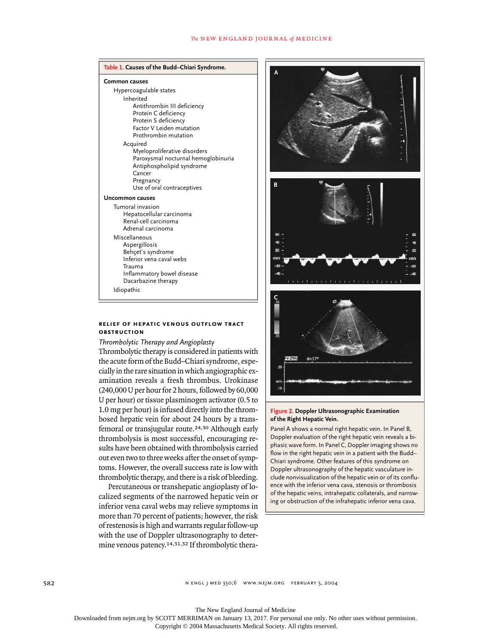#### *The* new england journal *of* medicine

| Table 1. Causes of the Budd-Chiari Syndrome.     |  |  |  |  |
|--------------------------------------------------|--|--|--|--|
| Common causes                                    |  |  |  |  |
| Hypercoagulable states                           |  |  |  |  |
| Inherited                                        |  |  |  |  |
| Antithrombin III deficiency                      |  |  |  |  |
| Protein C deficiency                             |  |  |  |  |
| Protein S deficiency<br>Factor V Leiden mutation |  |  |  |  |
| Prothrombin mutation                             |  |  |  |  |
| Acquired                                         |  |  |  |  |
| Myeloproliferative disorders                     |  |  |  |  |
| Paroxysmal nocturnal hemoglobinuria              |  |  |  |  |
| Antiphospholipid syndrome                        |  |  |  |  |
| Cancer<br>Pregnancy                              |  |  |  |  |
| Use of oral contraceptives                       |  |  |  |  |
| <b>Uncommon causes</b>                           |  |  |  |  |
| Tumoral invasion                                 |  |  |  |  |
| Hepatocellular carcinoma                         |  |  |  |  |
| Renal-cell carcinoma                             |  |  |  |  |
| Adrenal carcinoma                                |  |  |  |  |
| Miscellaneous                                    |  |  |  |  |
| Aspergillosis                                    |  |  |  |  |
| Behçet's syndrome<br>Inferior vena caval webs    |  |  |  |  |
| Trauma                                           |  |  |  |  |
| Inflammatory bowel disease                       |  |  |  |  |
| Dacarbazine therapy                              |  |  |  |  |
| Idiopathic                                       |  |  |  |  |
|                                                  |  |  |  |  |

## **relief of hepatic venous outflow tract obstruction**

*Thrombolytic Therapy and Angioplasty*

Thrombolytic therapy is considered in patients with the acute form of the Budd–Chiari syndrome, especially in the rare situation in which angiographic examination reveals a fresh thrombus. Urokinase (240,000 U per hour for 2 hours, followed by 60,000 U per hour) or tissue plasminogen activator (0.5 to 1.0 mg per hour) is infused directly into the thrombosed hepatic vein for about 24 hours by a transfemoral or transjugular route.24,30 Although early thrombolysis is most successful, encouraging results have been obtained with thrombolysis carried out even two to three weeks after the onset of symptoms. However, the overall success rate is low with thrombolytic therapy, and there is a risk of bleeding.

Percutaneous or transhepatic angioplasty of localized segments of the narrowed hepatic vein or inferior vena caval webs may relieve symptoms in more than 70 percent of patients; however, the risk of restenosis is high and warrants regular follow-up with the use of Doppler ultrasonography to determine venous patency.14,31,32 If thrombolytic thera-



#### **Figure 2. Doppler Ultrasonographic Examination of the Right Hepatic Vein.**

Panel A shows a normal right hepatic vein. In Panel B, Doppler evaluation of the right hepatic vein reveals a biphasic wave form. In Panel C, Doppler imaging shows no flow in the right hepatic vein in a patient with the Budd– Chiari syndrome. Other features of this syndrome on Doppler ultrasonography of the hepatic vasculature include nonvisualization of the hepatic vein or of its confluence with the inferior vena cava, stenosis or thrombosis of the hepatic veins, intrahepatic collaterals, and narrowing or obstruction of the infrahepatic inferior vena cava.

n engl j med 350;6 www.nejm.org february 5, 2004

The New England Journal of Medicine

Downloaded from nejm.org by SCOTT MERRIMAN on January 13, 2017. For personal use only. No other uses without permission.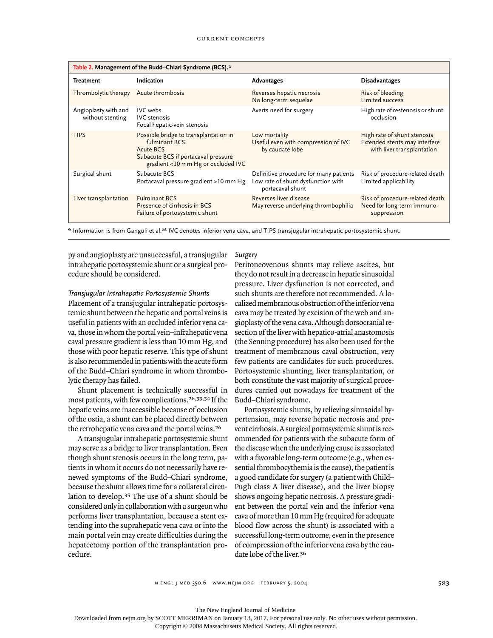| Table 2. Management of the Budd-Chiari Syndrome (BCS).* |                                                                                                                                                  |                                                                                                  |                                                                                            |  |
|---------------------------------------------------------|--------------------------------------------------------------------------------------------------------------------------------------------------|--------------------------------------------------------------------------------------------------|--------------------------------------------------------------------------------------------|--|
| <b>Treatment</b>                                        | Indication                                                                                                                                       | Advantages                                                                                       | <b>Disadvantages</b>                                                                       |  |
| Thrombolytic therapy                                    | Acute thrombosis                                                                                                                                 | Reverses hepatic necrosis<br>No long-term sequelae                                               | Risk of bleeding<br>Limited success                                                        |  |
| Angioplasty with and<br>without stenting                | <b>IVC</b> webs<br><b>IVC</b> stenosis<br>Focal hepatic-vein stenosis                                                                            | Averts need for surgery                                                                          | High rate of restenosis or shunt<br>occlusion                                              |  |
| <b>TIPS</b>                                             | Possible bridge to transplantation in<br>fulminant BCS<br>Acute BCS<br>Subacute BCS if portacaval pressure<br>gradient <10 mm Hg or occluded IVC | Low mortality<br>Useful even with compression of IVC<br>by caudate lobe                          | High rate of shunt stenosis<br>Extended stents may interfere<br>with liver transplantation |  |
| Surgical shunt                                          | Subacute BCS<br>Portacaval pressure gradient >10 mm Hg                                                                                           | Definitive procedure for many patients<br>Low rate of shunt dysfunction with<br>portacaval shunt | Risk of procedure-related death<br>Limited applicability                                   |  |
| Liver transplantation                                   | <b>Fulminant BCS</b><br>Presence of cirrhosis in BCS<br>Failure of portosystemic shunt                                                           | Reverses liver disease<br>May reverse underlying thrombophilia                                   | Risk of procedure-related death<br>Need for long-term immuno-<br>suppression               |  |

\* Information is from Ganguli et al.26 IVC denotes inferior vena cava, and TIPS transjugular intrahepatic portosystemic shunt.

py and angioplasty are unsuccessful, a transjugular intrahepatic portosystemic shunt or a surgical procedure should be considered.

*Transjugular Intrahepatic Portosystemic Shunts*

Placement of a transjugular intrahepatic portosystemic shunt between the hepatic and portal veins is useful in patients with an occluded inferior vena cava, those in whom the portal vein–infrahepatic vena caval pressure gradient is less than 10 mm Hg, and those with poor hepatic reserve. This type of shunt is also recommended in patients with the acute form of the Budd–Chiari syndrome in whom thrombolytic therapy has failed.

Shunt placement is technically successful in most patients, with few complications.26,33,34 If the hepatic veins are inaccessible because of occlusion of the ostia, a shunt can be placed directly between the retrohepatic vena cava and the portal veins.<sup>26</sup>

A transjugular intrahepatic portosystemic shunt may serve as a bridge to liver transplantation. Even though shunt stenosis occurs in the long term, patients in whom it occurs do not necessarily have renewed symptoms of the Budd–Chiari syndrome, because the shunt allows time for a collateral circulation to develop.35 The use of a shunt should be considered only in collaboration with a surgeon who performs liver transplantation, because a stent extending into the suprahepatic vena cava or into the main portal vein may create difficulties during the hepatectomy portion of the transplantation procedure.

*Surgery*

Peritoneovenous shunts may relieve ascites, but they do not result in a decrease in hepatic sinusoidal pressure. Liver dysfunction is not corrected, and such shunts are therefore not recommended. A localized membranous obstruction of the inferior vena cava may be treated by excision of the web and angioplasty of the vena cava. Although dorsocranial resection of the liver with hepatico-atrial anastomosis (the Senning procedure) has also been used for the treatment of membranous caval obstruction, very few patients are candidates for such procedures. Portosystemic shunting, liver transplantation, or both constitute the vast majority of surgical procedures carried out nowadays for treatment of the Budd–Chiari syndrome.

Portosystemic shunts, by relieving sinusoidal hypertension, may reverse hepatic necrosis and prevent cirrhosis. A surgical portosystemic shunt is recommended for patients with the subacute form of the disease when the underlying cause is associated with a favorable long-term outcome (e.g., when essential thrombocythemia is the cause), the patient is a good candidate for surgery (a patient with Child– Pugh class A liver disease), and the liver biopsy shows ongoing hepatic necrosis. A pressure gradient between the portal vein and the inferior vena cava of more than 10 mm Hg (required for adequate blood flow across the shunt) is associated with a successful long-term outcome, even in the presence of compression of the inferior vena cava by the caudate lobe of the liver.<sup>36</sup>

583

The New England Journal of Medicine

Downloaded from nejm.org by SCOTT MERRIMAN on January 13, 2017. For personal use only. No other uses without permission.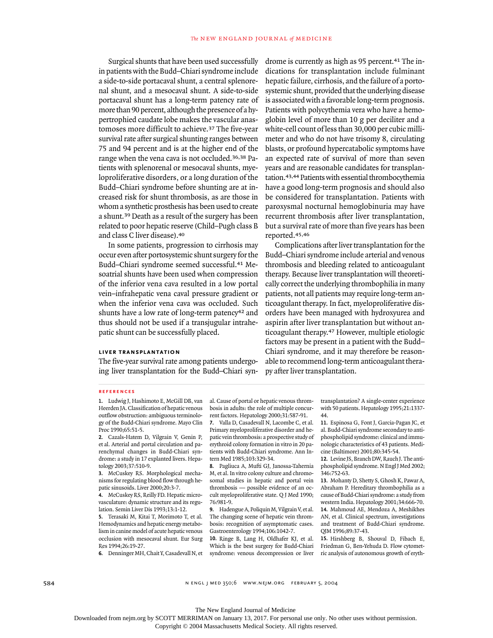Surgical shunts that have been used successfully in patients with the Budd–Chiari syndrome include a side-to-side portacaval shunt, a central splenorenal shunt, and a mesocaval shunt. A side-to-side portacaval shunt has a long-term patency rate of more than 90 percent, although the presence of a hypertrophied caudate lobe makes the vascular anastomoses more difficult to achieve.37 The five-year survival rate after surgical shunting ranges between 75 and 94 percent and is at the higher end of the range when the vena cava is not occluded.36,38 Patients with splenorenal or mesocaval shunts, myeloproliferative disorders, or a long duration of the Budd–Chiari syndrome before shunting are at increased risk for shunt thrombosis, as are those in whom a synthetic prosthesis has been used to create a shunt.39 Death as a result of the surgery has been related to poor hepatic reserve (Child–Pugh class B and class C liver disease).<sup>40</sup>

In some patients, progression to cirrhosis may occur even after portosystemic shunt surgery for the Budd–Chiari syndrome seemed successful.41 Mesoatrial shunts have been used when compression of the inferior vena cava resulted in a low portal vein–infrahepatic vena caval pressure gradient or when the inferior vena cava was occluded. Such shunts have a low rate of long-term patency<sup>42</sup> and thus should not be used if a transjugular intrahepatic shunt can be successfully placed.

#### **liver transplantation**

The five-year survival rate among patients undergoing liver transplantation for the Budd–Chiari syn-

drome is currently as high as 95 percent.<sup>41</sup> The indications for transplantation include fulminant hepatic failure, cirrhosis, and the failure of a portosystemic shunt, provided that the underlying disease is associated with a favorable long-term prognosis. Patients with polycythemia vera who have a hemoglobin level of more than 10 g per deciliter and a white-cell count of less than 30,000 per cubic millimeter and who do not have trisomy 8, circulating blasts, or profound hypercatabolic symptoms have an expected rate of survival of more than seven years and are reasonable candidates for transplantation.43,44 Patients with essential thrombocythemia have a good long-term prognosis and should also be considered for transplantation. Patients with paroxysmal nocturnal hemoglobinuria may have recurrent thrombosis after liver transplantation, but a survival rate of more than five years has been reported.45,46

Complications after liver transplantation for the Budd–Chiari syndrome include arterial and venous thrombosis and bleeding related to anticoagulant therapy. Because liver transplantation will theoretically correct the underlying thrombophilia in many patients, not all patients may require long-term anticoagulant therapy. In fact, myeloproliferative disorders have been managed with hydroxyurea and aspirin after liver transplantation but without anticoagulant therapy.47 However, multiple etiologic factors may be present in a patient with the Budd– Chiari syndrome, and it may therefore be reasonable to recommend long-term anticoagulant therapy after liver transplantation.

#### **references**

**1.** Ludwig J, Hashimoto E, McGill DB, van Heerden JA. Classification of hepatic venous outflow obstruction: ambiguous terminology of the Budd-Chiari syndrome. Mayo Clin Proc 1990;65:51-5.

**2.** Cazals-Hatem D, Vilgrain V, Genin P, et al. Arterial and portal circulation and parenchymal changes in Budd-Chiari syndrome: a study in 17 explanted livers. Hepatology 2003;37:510-9.

**3.** McCuskey RS. Morphological mechanisms for regulating blood flow through hepatic sinusoids. Liver 2000;20:3-7.

**4.** McCuskey RS, Reilly FD. Hepatic microvasculature: dynamic structure and its regulation. Semin Liver Dis 1993;13:1-12.

**5.** Terasaki M, Kitai T, Morimoto T, et al. Hemodynamics and hepatic energy metabolism in canine model of acute hepatic venous occlusion with mesocaval shunt. Eur Surg Res 1994;26:19-27.

**6.** Denninger MH, Chait Y, Casadevall N, et

al. Cause of portal or hepatic venous thrombosis in adults: the role of multiple concurrent factors. Hepatology 2000;31:587-91. **7.** Valla D, Casadevall N, Lacombe C, et al.

Primary myeloproliferative disorder and hepatic vein thrombosis: a prospective study of erythroid colony formation in vitro in 20 patients with Budd-Chiari syndrome. Ann Intern Med 1985;103:329-34.

**8.** Pagliuca A, Mufti GJ, Janossa-Tahernia M, et al. In vitro colony culture and chromosomal studies in hepatic and portal vein thrombosis — possible evidence of an occult myeloproliferative state. Q J Med 1990; 76:981-9.

**9.** Hadengue A, Poliquin M, Vilgrain V, et al. The changing scene of hepatic vein thrombosis: recognition of asymptomatic cases. Gastroenterology 1994;106:1042-7.

**10.** Ringe B, Lang H, Oldhafer KJ, et al. Which is the best surgery for Budd-Chiari syndrome: venous decompression or liver transplantation? A single-center experience with 50 patients. Hepatology 1995;21:1337- 44.

**11.** Espinosa G, Font J, Garcia-Pagan JC, et al. Budd-Chiari syndrome secondary to antiphospholipid syndrome: clinical and immunologic characteristics of 43 patients. Medicine (Baltimore) 2001;80:345-54.

**12.** Levine JS, Branch DW, Rauch J. The antiphospholipid syndrome. N Engl J Med 2002; 346:752-63.

**13.** Mohanty D, Shetty S, Ghosh K, Pawar A, Abraham P. Hereditary thrombophilia as a cause of Budd-Chiari syndrome: a study from western India. Hepatology 2001;34:666-70. **14.** Mahmoud AE, Mendoza A, Meshikhes AN, et al. Clinical spectrum, investigations and treatment of Budd-Chiari syndrome. QJM 1996;89:37-43.

**15.** Hirshberg B, Shouval D, Fibach E, Friedman G, Ben-Yehuda D. Flow cytometric analysis of autonomous growth of eryth-